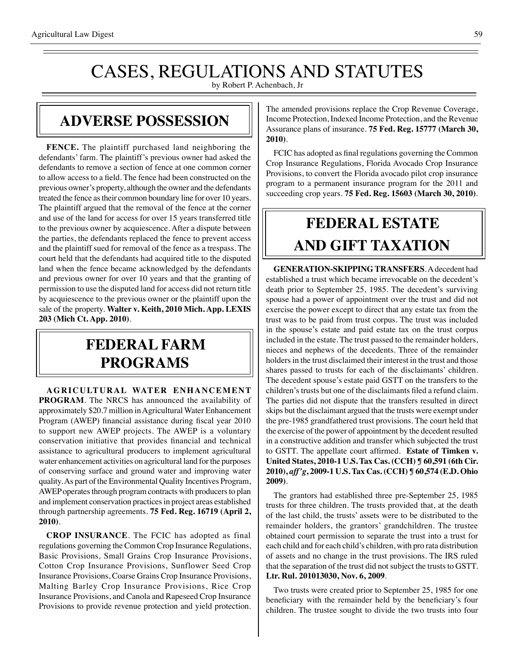# CASES, REGULATIONS AND STATUTES

by Robert P. Achenbach, Jr

#### **ADVERSE POSSESSION**

**FENCE.** The plaintiff purchased land neighboring the defendants' farm. The plaintiff's previous owner had asked the defendants to remove a section of fence at one common corner to allow access to a field. The fence had been constructed on the previous owner's property, although the owner and the defendants treated the fence as their common boundary line for over 10 years. The plaintiff argued that the removal of the fence at the corner and use of the land for access for over 15 years transferred title to the previous owner by acquiescence. After a dispute between the parties, the defendants replaced the fence to prevent access and the plaintiff sued for removal of the fence as a trespass. The court held that the defendants had acquired title to the disputed land when the fence became acknowledged by the defendants and previous owner for over 10 years and that the granting of permission to use the disputed land for access did not return title by acquiescence to the previous owner or the plaintiff upon the sale of the property. **Walter v. Keith, 2010 Mich. App. LEXIS 203 (Mich Ct. App. 2010)**.

## **federal FARM PROGRAMS**

**AGRICULTURAL WATER ENHANCEMENT PROGRAM**. The NRCS has announced the availability of approximately \$20.7 million in Agricultural Water Enhancement Program (AWEP) financial assistance during fiscal year 2010 to support new AWEP projects. The AWEP is a voluntary conservation initiative that provides financial and technical assistance to agricultural producers to implement agricultural water enhancement activities on agricultural land for the purposes of conserving surface and ground water and improving water quality. As part of the Environmental Quality Incentives Program, AWEP operates through program contracts with producers to plan and implement conservation practices in project areas established through partnership agreements. **75 Fed. Reg. 16719 (April 2, 2010)**.

**CROP INSURANCE**. The FCIC has adopted as final regulations governing the Common Crop Insurance Regulations, Basic Provisions, Small Grains Crop Insurance Provisions, Cotton Crop Insurance Provisions, Sunflower Seed Crop Insurance Provisions, Coarse Grains Crop Insurance Provisions, Malting Barley Crop Insurance Provisions, Rice Crop Insurance Provisions, and Canola and Rapeseed Crop Insurance Provisions to provide revenue protection and yield protection. The amended provisions replace the Crop Revenue Coverage, Income Protection, Indexed Income Protection, and the Revenue Assurance plans of insurance. **75 Fed. Reg. 15777 (March 30, 2010)**.

FCIC has adopted as final regulations governing the Common Crop Insurance Regulations, Florida Avocado Crop Insurance Provisions, to convert the Florida avocado pilot crop insurance program to a permanent insurance program for the 2011 and succeeding crop years. **75 Fed. Reg. 15603 (March 30, 2010)**.

# **federal ESTATE AND GIFT taxation**

**GENERATION-SKIPPING TRANSFERS**. A decedent had established a trust which became irrevocable on the decedent's death prior to September 25, 1985. The decedent's surviving spouse had a power of appointment over the trust and did not exercise the power except to direct that any estate tax from the trust was to be paid from trust corpus. The trust was included in the spouse's estate and paid estate tax on the trust corpus included in the estate. The trust passed to the remainder holders, nieces and nephews of the decedents. Three of the remainder holders in the trust disclaimed their interest in the trust and those shares passed to trusts for each of the disclaimants' children. The decedent spouse's estate paid GSTT on the transfers to the children's trusts but one of the disclaimants filed a refund claim. The parties did not dispute that the transfers resulted in direct skips but the disclaimant argued that the trusts were exempt under the pre-1985 grandfathered trust provisions. The court held that the exercise of the power of appointment by the decedent resulted in a constructive addition and transfer which subjected the trust to GSTT. The appellate court affirmed. **Estate of Timken v. United States, 2010-1 U.S. Tax Cas. (CCH) ¶ 60,591 (6th Cir. 2010),** *aff'g***, 2009-1 U.S. Tax Cas. (CCH) ¶ 60,574 (E.D. Ohio 2009)**.

The grantors had established three pre-September 25, 1985 trusts for three children. The trusts provided that, at the death of the last child, the trusts' assets were to be distributed to the remainder holders, the grantors' grandchildren. The trustee obtained court permission to separate the trust into a trust for each child and for each child's children, with pro rata distribution of assets and no change in the trust provisions. The IRS ruled that the separation of the trust did not subject the trusts to GSTT. **Ltr. Rul. 201013030, Nov. 6, 2009**.

Two trusts were created prior to September 25, 1985 for one beneficiary with the remainder held by the beneficiary's four children. The trustee sought to divide the two trusts into four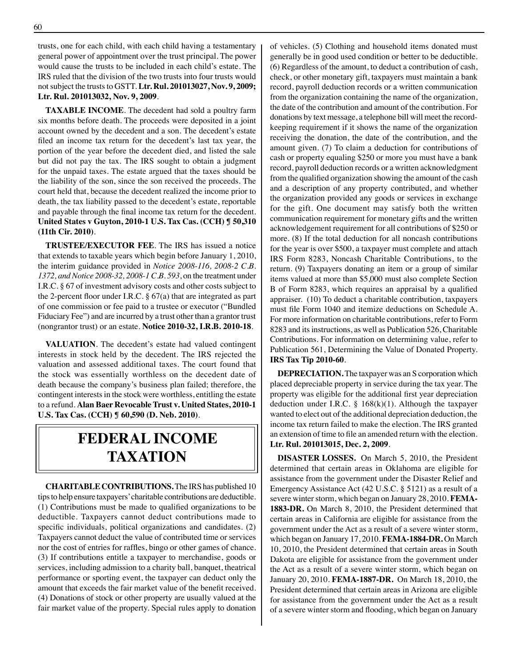trusts, one for each child, with each child having a testamentary general power of appointment over the trust principal. The power would cause the trusts to be included in each child's estate. The IRS ruled that the division of the two trusts into four trusts would not subject the trusts to GSTT. **Ltr. Rul. 201013027, Nov. 9, 2009; Ltr. Rul. 201013032, Nov. 9, 2009**.

**TAXABLE INCOME**. The decedent had sold a poultry farm six months before death. The proceeds were deposited in a joint account owned by the decedent and a son. The decedent's estate filed an income tax return for the decedent's last tax year, the portion of the year before the decedent died, and listed the sale but did not pay the tax. The IRS sought to obtain a judgment for the unpaid taxes. The estate argued that the taxes should be the liability of the son, since the son received the proceeds. The court held that, because the decedent realized the income prior to death, the tax liability passed to the decedent's estate, reportable and payable through the final income tax return for the decedent. **United States v Guyton, 2010-1 U.S. Tax Cas. (CCH) ¶ 50,310 (11th Cir. 2010)**.

**TRUSTEE/EXECUTOR FEE**. The IRS has issued a notice that extends to taxable years which begin before January 1, 2010, the interim guidance provided in *Notice 2008-116, 2008-2 C.B. 1372, and Notice 2008-32, 2008-1 C.B. 593*, on the treatment under I.R.C. § 67 of investment advisory costs and other costs subject to the 2-percent floor under I.R.C. § 67(a) that are integrated as part of one commission or fee paid to a trustee or executor ("Bundled Fiduciary Fee") and are incurred by a trust other than a grantor trust (nongrantor trust) or an estate. **Notice 2010-32, I.R.B. 2010-18**.

**VALUATION**. The decedent's estate had valued contingent interests in stock held by the decedent. The IRS rejected the valuation and assessed additional taxes. The court found that the stock was essentially worthless on the decedent date of death because the company's business plan failed; therefore, the contingent interests in the stock were worthless, entitling the estate to a refund. **Alan Baer Revocable Trust v. United States, 2010-1 U.S. Tax Cas. (CCH) ¶ 60,590 (D. Neb. 2010)**.

## **federal income taxation**

**CHARITABLE CONTRIBUTIONS.** The IRS has published 10 tips to help ensure taxpayers' charitable contributions are deductible. (1) Contributions must be made to qualified organizations to be deductible. Taxpayers cannot deduct contributions made to specific individuals, political organizations and candidates. (2) Taxpayers cannot deduct the value of contributed time or services nor the cost of entries for raffles, bingo or other games of chance. (3) If contributions entitle a taxpayer to merchandise, goods or services, including admission to a charity ball, banquet, theatrical performance or sporting event, the taxpayer can deduct only the amount that exceeds the fair market value of the benefit received. (4) Donations of stock or other property are usually valued at the fair market value of the property. Special rules apply to donation

of vehicles. (5) Clothing and household items donated must generally be in good used condition or better to be deductible. (6) Regardless of the amount, to deduct a contribution of cash, check, or other monetary gift, taxpayers must maintain a bank record, payroll deduction records or a written communication from the organization containing the name of the organization, the date of the contribution and amount of the contribution. For donations by text message, a telephone bill will meet the recordkeeping requirement if it shows the name of the organization receiving the donation, the date of the contribution, and the amount given. (7) To claim a deduction for contributions of cash or property equaling \$250 or more you must have a bank record, payroll deduction records or a written acknowledgment from the qualified organization showing the amount of the cash and a description of any property contributed, and whether the organization provided any goods or services in exchange for the gift. One document may satisfy both the written communication requirement for monetary gifts and the written acknowledgement requirement for all contributions of \$250 or more. (8) If the total deduction for all noncash contributions for the year is over \$500, a taxpayer must complete and attach IRS Form 8283, Noncash Charitable Contributions, to the return. (9) Taxpayers donating an item or a group of similar items valued at more than \$5,000 must also complete Section B of Form 8283, which requires an appraisal by a qualified appraiser. (10) To deduct a charitable contribution, taxpayers must file Form 1040 and itemize deductions on Schedule A. For more information on charitable contributions, refer to Form 8283 and its instructions, as well as Publication 526, Charitable Contributions. For information on determining value, refer to Publication 561, Determining the Value of Donated Property. **IRS Tax Tip 2010-60**.

**DEPRECIATION.** The taxpayer was an S corporation which placed depreciable property in service during the tax year. The property was eligible for the additional first year depreciation deduction under I.R.C.  $\S$  168(k)(1). Although the taxpayer wanted to elect out of the additional depreciation deduction, the income tax return failed to make the election. The IRS granted an extension of time to file an amended return with the election. **Ltr. Rul. 201013015, Dec. 2, 2009**.

**DISASTER LOSSES.** On March 5, 2010, the President determined that certain areas in Oklahoma are eligible for assistance from the government under the Disaster Relief and Emergency Assistance Act (42 U.S.C. § 5121) as a result of a severe winter storm, which began on January 28, 2010. **FEMA-1883-DR.** On March 8, 2010, the President determined that certain areas in California are eligible for assistance from the government under the Act as a result of a severe winter storm, which began on January 17, 2010. **FEMA-1884-DR.** On March 10, 2010, the President determined that certain areas in South Dakota are eligible for assistance from the government under the Act as a result of a severe winter storm, which began on January 20, 2010. **FEMA-1887-DR.** On March 18, 2010, the President determined that certain areas in Arizona are eligible for assistance from the government under the Act as a result of a severe winter storm and flooding, which began on January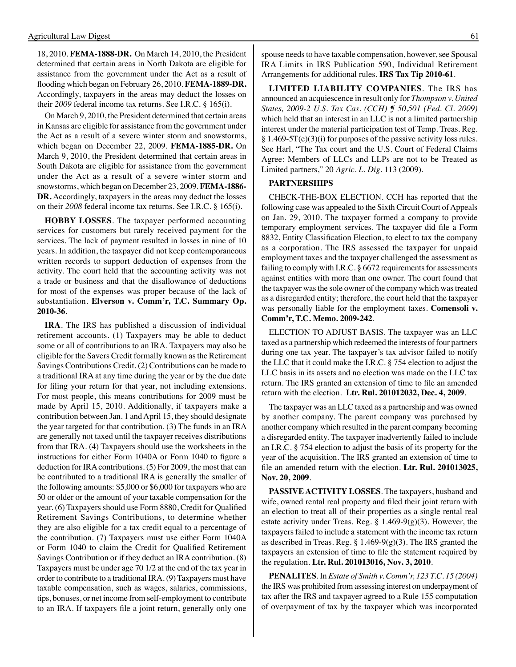18, 2010. **FEMA-1888-DR.** On March 14, 2010, the President determined that certain areas in North Dakota are eligible for assistance from the government under the Act as a result of flooding which began on February 26, 2010. **FEMA-1889-DR.** Accordingly, taxpayers in the areas may deduct the losses on their *2009* federal income tax returns. See I.R.C. § 165(i).

On March 9, 2010, the President determined that certain areas in Kansas are eligible for assistance from the government under the Act as a result of a severe winter storm and snowstorms, which began on December 22, 2009. **FEMA-1885-DR.** On March 9, 2010, the President determined that certain areas in South Dakota are eligible for assistance from the government under the Act as a result of a severe winter storm and snowstorms, which began on December 23, 2009. **FEMA-1886- DR.** Accordingly, taxpayers in the areas may deduct the losses on their *2008* federal income tax returns. See I.R.C. § 165(i).

**HOBBY LOSSES**. The taxpayer performed accounting services for customers but rarely received payment for the services. The lack of payment resulted in losses in nine of 10 years. In addition, the taxpayer did not keep contemporaneous written records to support deduction of expenses from the activity. The court held that the accounting activity was not a trade or business and that the disallowance of deductions for most of the expenses was proper because of the lack of substantiation. **Elverson v. Comm'r, T.C. Summary Op. 2010-36**.

**IRA**. The IRS has published a discussion of individual retirement accounts. (1) Taxpayers may be able to deduct some or all of contributions to an IRA. Taxpayers may also be eligible for the Savers Credit formally known as the Retirement Savings Contributions Credit. (2) Contributions can be made to a traditional IRA at any time during the year or by the due date for filing your return for that year, not including extensions. For most people, this means contributions for 2009 must be made by April 15, 2010. Additionally, if taxpayers make a contribution between Jan. 1 and April 15, they should designate the year targeted for that contribution. (3) The funds in an IRA are generally not taxed until the taxpayer receives distributions from that IRA. (4) Taxpayers should use the worksheets in the instructions for either Form 1040A or Form 1040 to figure a deduction for IRA contributions. (5) For 2009, the most that can be contributed to a traditional IRA is generally the smaller of the following amounts: \$5,000 or \$6,000 for taxpayers who are 50 or older or the amount of your taxable compensation for the year. (6) Taxpayers should use Form 8880, Credit for Qualified Retirement Savings Contributions, to determine whether they are also eligible for a tax credit equal to a percentage of the contribution. (7) Taxpayers must use either Form 1040A or Form 1040 to claim the Credit for Qualified Retirement Savings Contribution or if they deduct an IRA contribution. (8) Taxpayers must be under age 70 1/2 at the end of the tax year in order to contribute to a traditional IRA. (9) Taxpayers must have taxable compensation, such as wages, salaries, commissions, tips, bonuses, or net income from self-employment to contribute to an IRA. If taxpayers file a joint return, generally only one

spouse needs to have taxable compensation, however, see Spousal IRA Limits in IRS Publication 590, Individual Retirement Arrangements for additional rules. **IRS Tax Tip 2010-61**.

**LIMITED LIABILITY COMPANIES**. The IRS has announced an acquiescence in result only for *Thompson v. United States, 2009-2 U.S. Tax Cas. (CCH) ¶ 50,501 (Fed. Cl. 2009)* which held that an interest in an LLC is not a limited partnership interest under the material participation test of Temp. Treas. Reg.  $§ 1.469-5T(e)(3)(i)$  for purposes of the passive activity loss rules. See Harl, "The Tax court and the U.S. Court of Federal Claims Agree: Members of LLCs and LLPs are not to be Treated as Limited partners," 20 *Agric. L. Dig*. 113 (2009).

#### **PARTNERSHIPS**

CHECK-THE-BOX ELECTION. CCH has reported that the following case was appealed to the Sixth Circuit Court of Appeals on Jan. 29, 2010. The taxpayer formed a company to provide temporary employment services. The taxpayer did file a Form 8832, Entity Classification Election, to elect to tax the company as a corporation. The IRS assessed the taxpayer for unpaid employment taxes and the taxpayer challenged the assessment as failing to comply with I.R.C. § 6672 requirements for assessments against entities with more than one owner. The court found that the taxpayer was the sole owner of the company which was treated as a disregarded entity; therefore, the court held that the taxpayer was personally liable for the employment taxes. **Comensoli v. Comm'r, T.C. Memo. 2009-242**.

ELECTION TO ADJUST BASIS. The taxpayer was an LLC taxed as a partnership which redeemed the interests of four partners during one tax year. The taxpayer's tax advisor failed to notify the LLC that it could make the I.R.C. § 754 election to adjust the LLC basis in its assets and no election was made on the LLC tax return. The IRS granted an extension of time to file an amended return with the election. **Ltr. Rul. 201012032, Dec. 4, 2009**.

The taxpayer was an LLC taxed as a partnership and was owned by another company. The parent company was purchased by another company which resulted in the parent company becoming a disregarded entity. The taxpayer inadvertently failed to include an I.R.C. § 754 election to adjust the basis of its property for the year of the acquisition. The IRS granted an extension of time to file an amended return with the election. **Ltr. Rul. 201013025, Nov. 20, 2009**.

**PASSIVE ACTIVITY LOSSES**. The taxpayers, husband and wife, owned rental real property and filed their joint return with an election to treat all of their properties as a single rental real estate activity under Treas. Reg.  $\S$  1.469-9(g)(3). However, the taxpayers failed to include a statement with the income tax return as described in Treas. Reg.  $\S 1.469-9(g)(3)$ . The IRS granted the taxpayers an extension of time to file the statement required by the regulation. **Ltr. Rul. 201013016, Nov. 3, 2010**.

**PENALITES**. In *Estate of Smith v. Comm'r, 123 T.C. 15 (2004)* the IRS was prohibited from assessing interest on underpayment of tax after the IRS and taxpayer agreed to a Rule 155 computation of overpayment of tax by the taxpayer which was incorporated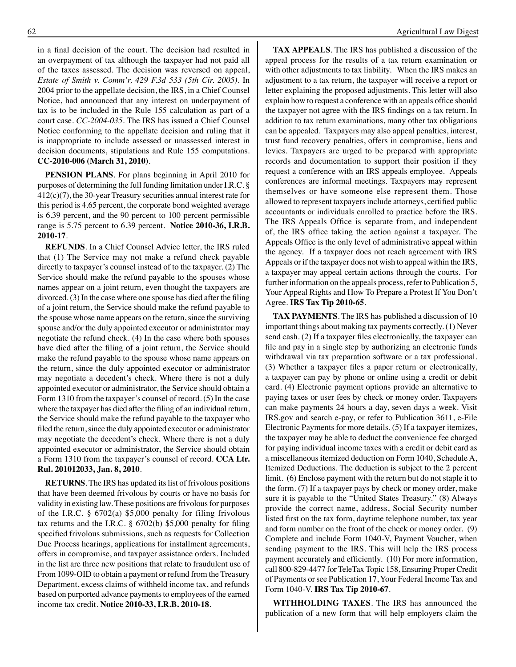in a final decision of the court. The decision had resulted in an overpayment of tax although the taxpayer had not paid all of the taxes assessed. The decision was reversed on appeal, *Estate of Smith v. Comm'r, 429 F.3d 533 (5th Cir. 2005)*. In 2004 prior to the appellate decision, the IRS, in a Chief Counsel Notice, had announced that any interest on underpayment of tax is to be included in the Rule 155 calculation as part of a court case. *CC-2004-035*. The IRS has issued a Chief Counsel Notice conforming to the appellate decision and ruling that it is inappropriate to include assessed or unassessed interest in decision documents, stipulations and Rule 155 computations. **CC-2010-006 (March 31, 2010)**.

**PENSION PLANS**. For plans beginning in April 2010 for purposes of determining the full funding limitation under I.R.C. § 412(c)(7), the 30-year Treasury securities annual interest rate for this period is 4.65 percent, the corporate bond weighted average is 6.39 percent, and the 90 percent to 100 percent permissible range is 5.75 percent to 6.39 percent. **Notice 2010-36, I.R.B. 2010-17**.

**REFUNDS**. In a Chief Counsel Advice letter, the IRS ruled that (1) The Service may not make a refund check payable directly to taxpayer's counsel instead of to the taxpayer. (2) The Service should make the refund payable to the spouses whose names appear on a joint return, even thought the taxpayers are divorced. (3) In the case where one spouse has died after the filing of a joint return, the Service should make the refund payable to the spouse whose name appears on the return, since the surviving spouse and/or the duly appointed executor or administrator may negotiate the refund check. (4) In the case where both spouses have died after the filing of a joint return, the Service should make the refund payable to the spouse whose name appears on the return, since the duly appointed executor or administrator may negotiate a decedent's check. Where there is not a duly appointed executor or administrator, the Service should obtain a Form 1310 from the taxpayer's counsel of record. (5) In the case where the taxpayer has died after the filing of an individual return, the Service should make the refund payable to the taxpayer who filed the return, since the duly appointed executor or administrator may negotiate the decedent's check. Where there is not a duly appointed executor or administrator, the Service should obtain a Form 1310 from the taxpayer's counsel of record. **CCA Ltr. Rul. 201012033, Jan. 8, 2010**.

**RETURNS**. The IRS has updated its list of frivolous positions that have been deemed frivolous by courts or have no basis for validity in existing law. These positions are frivolous for purposes of the I.R.C. § 6702(a) \$5,000 penalty for filing frivolous tax returns and the I.R.C. § 6702(b) \$5,000 penalty for filing specified frivolous submissions, such as requests for Collection Due Process hearings, applications for installment agreements, offers in compromise, and taxpayer assistance orders. Included in the list are three new positions that relate to fraudulent use of From 1099-OID to obtain a payment or refund from the Treasury Department, excess claims of withheld income tax, and refunds based on purported advance payments to employees of the earned income tax credit. **Notice 2010-33, I.R.B. 2010-18**.

**TAX APPEALS**. The IRS has published a discussion of the appeal process for the results of a tax return examination or with other adjustments to tax liability. When the IRS makes an adjustment to a tax return, the taxpayer will receive a report or letter explaining the proposed adjustments. This letter will also explain how to request a conference with an appeals office should the taxpayer not agree with the IRS findings on a tax return. In addition to tax return examinations, many other tax obligations can be appealed. Taxpayers may also appeal penalties, interest, trust fund recovery penalties, offers in compromise, liens and levies. Taxpayers are urged to be prepared with appropriate records and documentation to support their position if they request a conference with an IRS appeals employee. Appeals conferences are informal meetings. Taxpayers may represent themselves or have someone else represent them. Those allowed to represent taxpayers include attorneys, certified public accountants or individuals enrolled to practice before the IRS. The IRS Appeals Office is separate from, and independent of, the IRS office taking the action against a taxpayer. The Appeals Office is the only level of administrative appeal within the agency. If a taxpayer does not reach agreement with IRS Appeals or if the taxpayer does not wish to appeal within the IRS, a taxpayer may appeal certain actions through the courts. For further information on the appeals process, refer to Publication 5, Your Appeal Rights and How To Prepare a Protest If You Don't Agree. **IRS Tax Tip 2010-65**.

**TAX PAYMENTS**. The IRS has published a discussion of 10 important things about making tax payments correctly. (1) Never send cash. (2) If a taxpayer files electronically, the taxpayer can file and pay in a single step by authorizing an electronic funds withdrawal via tax preparation software or a tax professional. (3) Whether a taxpayer files a paper return or electronically, a taxpayer can pay by phone or online using a credit or debit card. (4) Electronic payment options provide an alternative to paying taxes or user fees by check or money order. Taxpayers can make payments 24 hours a day, seven days a week. Visit IRS.gov and search e-pay, or refer to Publication 3611, e-File Electronic Payments for more details. (5) If a taxpayer itemizes, the taxpayer may be able to deduct the convenience fee charged for paying individual income taxes with a credit or debit card as a miscellaneous itemized deduction on Form 1040, Schedule A, Itemized Deductions. The deduction is subject to the 2 percent limit. (6) Enclose payment with the return but do not staple it to the form. (7) If a taxpayer pays by check or money order, make sure it is payable to the "United States Treasury." (8) Always provide the correct name, address, Social Security number listed first on the tax form, daytime telephone number, tax year and form number on the front of the check or money order. (9) Complete and include Form 1040-V, Payment Voucher, when sending payment to the IRS. This will help the IRS process payment accurately and efficiently. (10) For more information, call 800-829-4477 for TeleTax Topic 158, Ensuring Proper Credit of Payments or see Publication 17, Your Federal Income Tax and Form 1040-V. **IRS Tax Tip 2010-67**.

**WITHHOLDING TAXES**. The IRS has announced the publication of a new form that will help employers claim the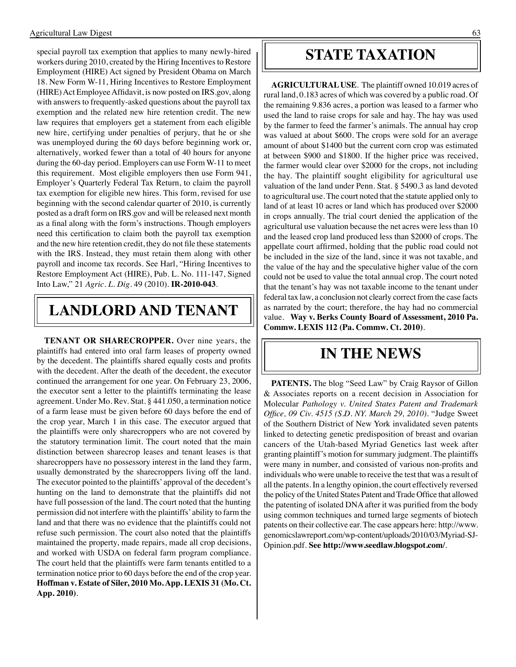special payroll tax exemption that applies to many newly-hired workers during 2010, created by the Hiring Incentives to Restore Employment (HIRE) Act signed by President Obama on March 18. New Form W-11, Hiring Incentives to Restore Employment (HIRE) Act Employee Affidavit, is now posted on IRS.gov, along with answers to frequently-asked questions about the payroll tax exemption and the related new hire retention credit. The new law requires that employers get a statement from each eligible new hire, certifying under penalties of perjury, that he or she was unemployed during the 60 days before beginning work or, alternatively, worked fewer than a total of 40 hours for anyone during the 60-day period. Employers can use Form W-11 to meet this requirement. Most eligible employers then use Form 941, Employer's Quarterly Federal Tax Return, to claim the payroll tax exemption for eligible new hires. This form, revised for use beginning with the second calendar quarter of 2010, is currently posted as a draft form on IRS.gov and will be released next month as a final along with the form's instructions. Though employers need this certification to claim both the payroll tax exemption and the new hire retention credit, they do not file these statements with the IRS. Instead, they must retain them along with other payroll and income tax records. See Harl, "Hiring Incentives to Restore Employment Act (HIRE), Pub. L. No. 111-147, Signed Into Law," 21 *Agric. L. Dig*. 49 (2010). **IR-2010-043**.

## **LANDLORD AND TENANT**

**TENANT OR SHARECROPPER.** Over nine years, the plaintiffs had entered into oral farm leases of property owned by the decedent. The plaintiffs shared equally costs and profits with the decedent. After the death of the decedent, the executor continued the arrangement for one year. On February 23, 2006, the executor sent a letter to the plaintiffs terminating the lease agreement. Under Mo. Rev. Stat. § 441.050, a termination notice of a farm lease must be given before 60 days before the end of the crop year, March 1 in this case. The executor argued that the plaintiffs were only sharecroppers who are not covered by the statutory termination limit. The court noted that the main distinction between sharecrop leases and tenant leases is that sharecroppers have no possessory interest in the land they farm, usually demonstrated by the sharecroppers living off the land. The executor pointed to the plaintiffs' approval of the decedent's hunting on the land to demonstrate that the plaintiffs did not have full possession of the land. The court noted that the hunting permission did not interfere with the plaintiffs' ability to farm the land and that there was no evidence that the plaintiffs could not refuse such permission. The court also noted that the plaintiffs maintained the property, made repairs, made all crop decisions, and worked with USDA on federal farm program compliance. The court held that the plaintiffs were farm tenants entitled to a termination notice prior to 60 days before the end of the crop year. **Hoffman v. Estate of Siler, 2010 Mo. App. LEXIS 31 (Mo. Ct. App. 2010)**.

#### **STATE TAXATION**

**AGRICULTURAL USE**. The plaintiff owned 10.019 acres of rural land, 0.183 acres of which was covered by a public road. Of the remaining 9.836 acres, a portion was leased to a farmer who used the land to raise crops for sale and hay. The hay was used by the farmer to feed the farmer's animals. The annual hay crop was valued at about \$600. The crops were sold for an average amount of about \$1400 but the current corn crop was estimated at between \$900 and \$1800. If the higher price was received, the farmer would clear over \$2000 for the crops, not including the hay. The plaintiff sought eligibility for agricultural use valuation of the land under Penn. Stat. § 5490.3 as land devoted to agricultural use. The court noted that the statute applied only to land of at least 10 acres or land which has produced over \$2000 in crops annually. The trial court denied the application of the agricultural use valuation because the net acres were less than 10 and the leased crop land produced less than \$2000 of crops. The appellate court affirmed, holding that the public road could not be included in the size of the land, since it was not taxable, and the value of the hay and the speculative higher value of the corn could not be used to value the total annual crop. The court noted that the tenant's hay was not taxable income to the tenant under federal tax law, a conclusion not clearly correct from the case facts as narrated by the court; therefore, the hay had no commercial value. **Way v. Berks County Board of Assessment, 2010 Pa. Commw. LEXIS 112 (Pa. Commw. Ct. 2010)**.

#### **In the news**

**PATENTS.** The blog "Seed Law" by Craig Raysor of Gillon & Associates reports on a recent decision in Association for Molecular *Pathology v. United States Patent and Trademark Office, 09 Civ. 4515 (S.D. NY. March 29, 2010)*. "Judge Sweet of the Southern District of New York invalidated seven patents linked to detecting genetic predisposition of breast and ovarian cancers of the Utah-based Myriad Genetics last week after granting plaintiff's motion for summary judgment. The plaintiffs were many in number, and consisted of various non-profits and individuals who were unable to receive the test that was a result of all the patents. In a lengthy opinion, the court effectively reversed the policy of the United States Patent and Trade Office that allowed the patenting of isolated DNA after it was purified from the body using common techniques and turned large segments of biotech patents on their collective ear. The case appears here: http://www. genomicslawreport.com/wp-content/uploads/2010/03/Myriad-SJ-Opinion.pdf. **See http://www.seedlaw.blogspot.com/**.